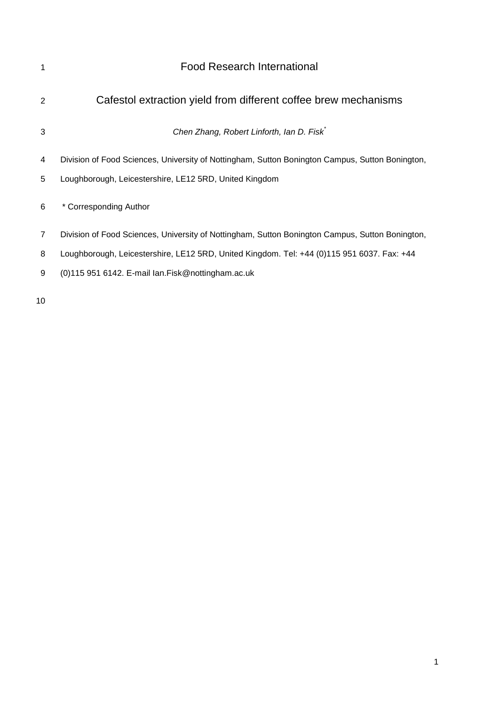| 1              | <b>Food Research International</b>                                                              |
|----------------|-------------------------------------------------------------------------------------------------|
| 2              | Cafestol extraction yield from different coffee brew mechanisms                                 |
| 3              | Chen Zhang, Robert Linforth, Ian D. Fisk                                                        |
| 4              | Division of Food Sciences, University of Nottingham, Sutton Bonington Campus, Sutton Bonington, |
| 5              | Loughborough, Leicestershire, LE12 5RD, United Kingdom                                          |
| 6              | * Corresponding Author                                                                          |
| $\overline{7}$ | Division of Food Sciences, University of Nottingham, Sutton Bonington Campus, Sutton Bonington, |
| 8              | Loughborough, Leicestershire, LE12 5RD, United Kingdom. Tel: +44 (0)115 951 6037. Fax: +44      |
| 9              | (0)115 951 6142. E-mail lan. Fisk@nottingham.ac.uk                                              |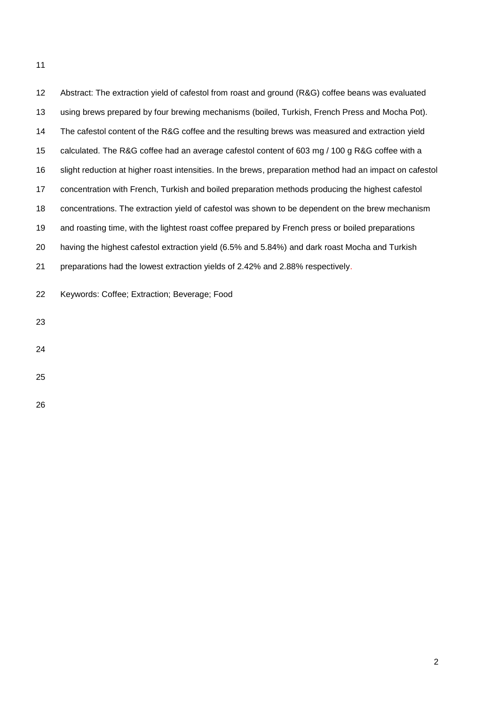| 12 | Abstract: The extraction yield of cafestol from roast and ground (R&G) coffee beans was evaluated        |
|----|----------------------------------------------------------------------------------------------------------|
| 13 | using brews prepared by four brewing mechanisms (boiled, Turkish, French Press and Mocha Pot).           |
| 14 | The cafestol content of the R&G coffee and the resulting brews was measured and extraction yield         |
| 15 | calculated. The R&G coffee had an average cafestol content of 603 mg / 100 g R&G coffee with a           |
| 16 | slight reduction at higher roast intensities. In the brews, preparation method had an impact on cafestol |
| 17 | concentration with French, Turkish and boiled preparation methods producing the highest cafestol         |
| 18 | concentrations. The extraction yield of cafestol was shown to be dependent on the brew mechanism         |
| 19 | and roasting time, with the lightest roast coffee prepared by French press or boiled preparations        |
| 20 | having the highest cafestol extraction yield (6.5% and 5.84%) and dark roast Mocha and Turkish           |
| 21 | preparations had the lowest extraction yields of 2.42% and 2.88% respectively.                           |
| 22 | Keywords: Coffee; Extraction; Beverage; Food                                                             |
| 23 |                                                                                                          |
| 24 |                                                                                                          |
| 25 |                                                                                                          |
| 26 |                                                                                                          |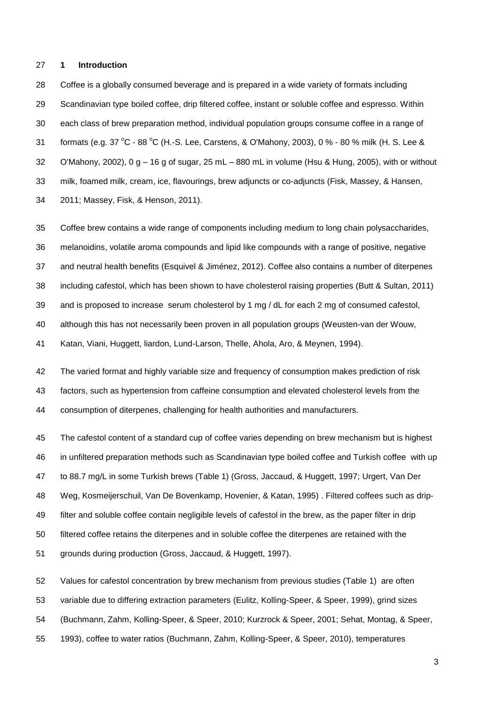#### **1 Introduction**

 Coffee is a globally consumed beverage and is prepared in a wide variety of formats including Scandinavian type boiled coffee, drip filtered coffee, instant or soluble coffee and espresso. Within each class of brew preparation method, individual population groups consume coffee in a range of 31 formats (e.g. 37 °C - 88 °C [\(H.-S. Lee, Carstens, & O'Mahony, 2003\)](#page-11-0), 0 % - 80 % milk (H. S. Lee & [O'Mahony, 2002\)](#page-11-1), 0 g – 16 g of sugar, 25 mL – 880 mL in volume [\(Hsu & Hung, 2005\)](#page-11-2), with or without milk, foamed milk, cream, ice, flavourings, brew adjuncts or co-adjuncts [\(Fisk, Massey, & Hansen,](#page-11-3)  [2011;](#page-11-3) [Massey, Fisk, & Henson, 2011\)](#page-11-4).

 Coffee brew contains a wide range of components including medium to long chain polysaccharides, melanoidins, volatile aroma compounds and lipid like compounds with a range of positive, negative and neutral health benefits [\(Esquivel & Jiménez, 2012\)](#page-11-5). Coffee also contains a number of diterpenes including cafestol, which has been shown to have cholesterol raising properties [\(Butt & Sultan, 2011\)](#page-11-6) and is proposed to increase serum cholesterol by 1 mg / dL for each 2 mg of consumed cafestol, although this has not necessarily been proven in all population groups [\(Weusten-van der Wouw,](#page-12-0)  [Katan, Viani, Huggett, liardon, Lund-Larson, Thelle, Ahola, Aro, & Meynen, 1994\)](#page-12-0).

 The varied format and highly variable size and frequency of consumption makes prediction of risk factors, such as hypertension from caffeine consumption and elevated cholesterol levels from the consumption of diterpenes, challenging for health authorities and manufacturers.

 The cafestol content of a standard cup of coffee varies depending on brew mechanism but is highest in unfiltered preparation methods such as Scandinavian type boiled coffee and Turkish coffee with up to 88.7 mg/L in some Turkish brews [\(Table 1\)](#page-13-0) [\(Gross, Jaccaud, & Huggett, 1997;](#page-11-7) [Urgert, Van Der](#page-12-1)  [Weg, Kosmeijerschuil, Van De Bovenkamp, Hovenier, & Katan, 1995\)](#page-12-1) . Filtered coffees such as drip- filter and soluble coffee contain negligible levels of cafestol in the brew, as the paper filter in drip filtered coffee retains the diterpenes and in soluble coffee the diterpenes are retained with the grounds during production [\(Gross, Jaccaud, & Huggett, 1997\)](#page-11-7).

Values for cafestol concentration by brew mechanism from previous studies [\(Table 1\)](#page-13-0) are often

variable due to differing extraction parameters [\(Eulitz, Kolling-Speer, & Speer, 1999\)](#page-11-8), grind sizes

[\(Buchmann, Zahm, Kolling-Speer, & Speer, 2010;](#page-11-9) [Kurzrock & Speer, 2001;](#page-11-10) [Sehat, Montag, & Speer,](#page-11-11) 

[1993\)](#page-11-11), coffee to water ratios [\(Buchmann, Zahm, Kolling-Speer, &](#page-11-9) Speer, 2010), temperatures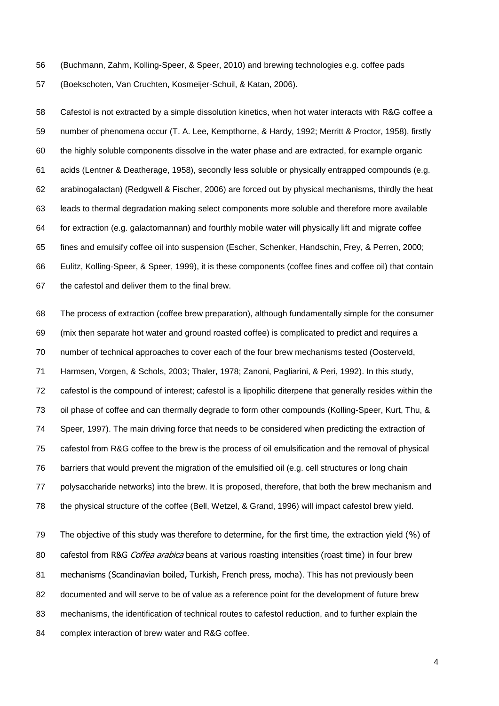[\(Buchmann, Zahm, Kolling-Speer, & Speer, 2010\)](#page-11-9) and brewing technologies e.g. coffee pads

[\(Boekschoten, Van Cruchten, Kosmeijer-Schuil, & Katan, 2006\)](#page-11-12).

 Cafestol is not extracted by a simple dissolution kinetics, when hot water interacts with R&G coffee a number of phenomena occur [\(T. A. Lee, Kempthorne, & Hardy, 1992;](#page-11-13) [Merritt & Proctor, 1958\)](#page-11-14), firstly the highly soluble components dissolve in the water phase and are extracted, for example organic acids [\(Lentner & Deatherage, 1958\)](#page-11-15), secondly less soluble or physically entrapped compounds (e.g. arabinogalactan) [\(Redgwell & Fischer, 2006\)](#page-11-16) are forced out by physical mechanisms, thirdly the heat leads to thermal degradation making select components more soluble and therefore more available for extraction (e.g. galactomannan) and fourthly mobile water will physically lift and migrate coffee fines and emulsify coffee oil into suspension [\(Escher, Schenker, Handschin, Frey, & Perren, 2000;](#page-11-17) [Eulitz, Kolling-Speer, & Speer, 1999\)](#page-11-8), it is these components (coffee fines and coffee oil) that contain the cafestol and deliver them to the final brew.

 The process of extraction (coffee brew preparation), although fundamentally simple for the consumer (mix then separate hot water and ground roasted coffee) is complicated to predict and requires a number of technical approaches to cover each of the four brew mechanisms tested [\(Oosterveld,](#page-11-18)  [Harmsen, Vorgen, & Schols, 2003;](#page-11-18) [Thaler, 1978;](#page-12-2) [Zanoni, Pagliarini, & Peri, 1992\)](#page-12-3). In this study, cafestol is the compound of interest; cafestol is a lipophilic diterpene that generally resides within the oil phase of coffee and can thermally degrade to form other compounds [\(Kolling-Speer, Kurt, Thu, &](#page-11-19)  [Speer, 1997\)](#page-11-19). The main driving force that needs to be considered when predicting the extraction of cafestol from R&G coffee to the brew is the process of oil emulsification and the removal of physical barriers that would prevent the migration of the emulsified oil (e.g. cell structures or long chain polysaccharide networks) into the brew. It is proposed, therefore, that both the brew mechanism and the physical structure of the coffee [\(Bell, Wetzel, & Grand, 1996\)](#page-11-20) will impact cafestol brew yield.

 The objective of this study was therefore to determine, for the first time, the extraction yield (%) of 80 cafestol from R&G Coffea arabica beans at various roasting intensities (roast time) in four brew mechanisms (Scandinavian boiled, Turkish, French press, mocha). This has not previously been documented and will serve to be of value as a reference point for the development of future brew mechanisms, the identification of technical routes to cafestol reduction, and to further explain the complex interaction of brew water and R&G coffee.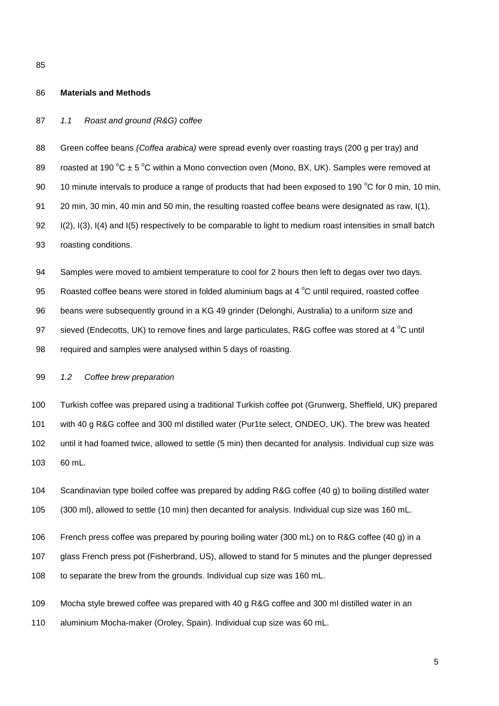#### **Materials and Methods**

#### *1.1 Roast and ground (R&G) coffee*

 Green coffee beans *(Coffea arabica)* were spread evenly over roasting trays (200 g per tray) and 89 roasted at 190 °C  $\pm$  5 °C within a Mono convection oven (Mono, BX, UK). Samples were removed at 90 10 minute intervals to produce a range of products that had been exposed to 190  $\degree$ C for 0 min, 10 min, 20 min, 30 min, 40 min and 50 min, the resulting roasted coffee beans were designated as raw, I(1), I(2), I(3), I(4) and I(5) respectively to be comparable to light to medium roast intensities in small batch roasting conditions.

 Samples were moved to ambient temperature to cool for 2 hours then left to degas over two days. 95 Roasted coffee beans were stored in folded aluminium bags at 4  $\mathrm{°C}$  until required, roasted coffee beans were subsequently ground in a KG 49 grinder (Delonghi, Australia) to a uniform size and 97 sieved (Endecotts, UK) to remove fines and large particulates, R&G coffee was stored at 4  $^{\circ}$ C until required and samples were analysed within 5 days of roasting.

## *1.2 Coffee brew preparation*

 Turkish coffee was prepared using a traditional Turkish coffee pot (Grunwerg, Sheffield, UK) prepared with 40 g R&G coffee and 300 ml distilled water (Pur1te select, ONDEO, UK). The brew was heated until it had foamed twice, allowed to settle (5 min) then decanted for analysis. Individual cup size was 60 mL.

 Scandinavian type boiled coffee was prepared by adding R&G coffee (40 g) to boiling distilled water (300 ml), allowed to settle (10 min) then decanted for analysis. Individual cup size was 160 mL.

French press coffee was prepared by pouring boiling water (300 mL) on to R&G coffee (40 g) in a

glass French press pot (Fisherbrand, US), allowed to stand for 5 minutes and the plunger depressed

to separate the brew from the grounds. Individual cup size was 160 mL.

 Mocha style brewed coffee was prepared with 40 g R&G coffee and 300 ml distilled water in an aluminium Mocha-maker (Oroley, Spain). Individual cup size was 60 mL.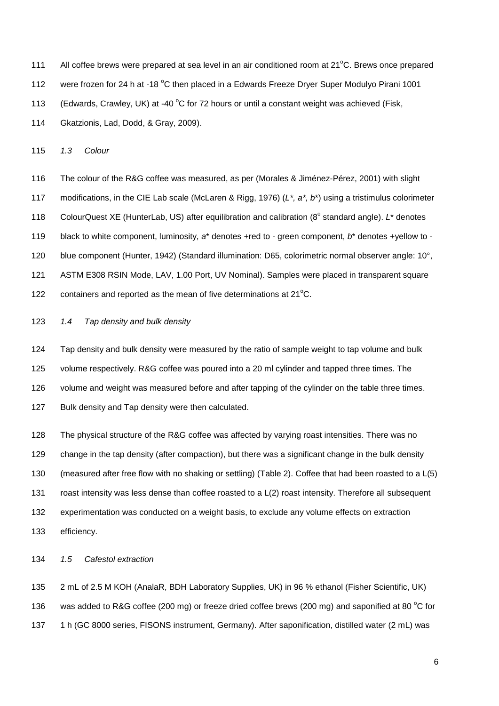111 All coffee brews were prepared at sea level in an air conditioned room at  $21^{\circ}$ C. Brews once prepared

112 were frozen for 24 h at -18 °C then placed in a Edwards Freeze Dryer Super Modulyo Pirani 1001

113 (Edwards, Crawley, UK) at -40 °C for 72 hours or until a constant weight was achieved (Fisk,

[Gkatzionis, Lad, Dodd, & Gray, 2009\)](#page-11-21).

*1.3 Colour*

 The colour of the R&G coffee was measured, as per [\(Morales & Jiménez-Pérez, 2001\)](#page-11-22) with slight modifications, in the CIE Lab scale [\(McLaren & Rigg, 1976\)](#page-11-23) (*L\*, a\*, b*\*) using a tristimulus colorimeter 118 ColourQuest XE (HunterLab, US) after equilibration and calibration (8<sup>°</sup> standard angle). *L*\* denotes black to white component, luminosity, *a*\* denotes +red to - green component, *b*\* denotes +yellow to - blue component [\(Hunter, 1942\)](#page-11-24) (Standard illumination: D65, colorimetric normal observer angle: 10°, ASTM E308 RSIN Mode, LAV, 1.00 Port, UV Nominal). Samples were placed in transparent square 122 containers and reported as the mean of five determinations at  $21^{\circ}$ C.

## *1.4 Tap density and bulk density*

 Tap density and bulk density were measured by the ratio of sample weight to tap volume and bulk volume respectively. R&G coffee was poured into a 20 ml cylinder and tapped three times. The volume and weight was measured before and after tapping of the cylinder on the table three times. 127 Bulk density and Tap density were then calculated.

 The physical structure of the R&G coffee was affected by varying roast intensities. There was no change in the tap density (after compaction), but there was a significant change in the bulk density (measured after free flow with no shaking or settling) [\(Table 2\)](#page-14-0). Coffee that had been roasted to a L(5) roast intensity was less dense than coffee roasted to a L(2) roast intensity. Therefore all subsequent experimentation was conducted on a weight basis, to exclude any volume effects on extraction efficiency.

*1.5 Cafestol extraction*

 2 mL of 2.5 M KOH (AnalaR, BDH Laboratory Supplies, UK) in 96 % ethanol (Fisher Scientific, UK) 136 was added to R&G coffee (200 mg) or freeze dried coffee brews (200 mg) and saponified at 80  $^{\circ}$ C for 1 h (GC 8000 series, FISONS instrument, Germany). After saponification, distilled water (2 mL) was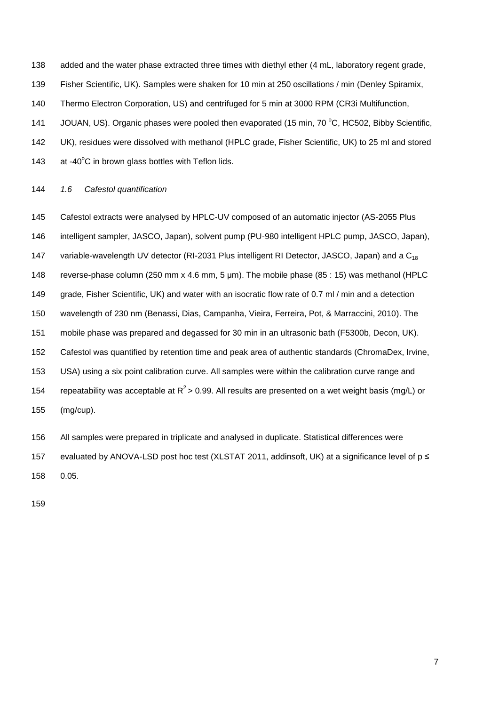added and the water phase extracted three times with diethyl ether (4 mL, laboratory regent grade, Fisher Scientific, UK). Samples were shaken for 10 min at 250 oscillations / min (Denley Spiramix, Thermo Electron Corporation, US) and centrifuged for 5 min at 3000 RPM (CR3i Multifunction, 141 JOUAN, US). Organic phases were pooled then evaporated (15 min, 70 °C, HC502, Bibby Scientific, UK), residues were dissolved with methanol (HPLC grade, Fisher Scientific, UK) to 25 ml and stored  $at -40^{\circ}$ C in brown glass bottles with Teflon lids.

## *1.6 Cafestol quantification*

 Cafestol extracts were analysed by HPLC-UV composed of an automatic injector (AS-2055 Plus intelligent sampler, JASCO, Japan), solvent pump (PU-980 intelligent HPLC pump, JASCO, Japan), 147 variable-wavelength UV detector (RI-2031 Plus intelligent RI Detector, JASCO, Japan) and a C<sub>18</sub> reverse-phase column (250 mm x 4.6 mm, 5 μm). The mobile phase (85 : 15) was methanol (HPLC grade, Fisher Scientific, UK) and water with an isocratic flow rate of 0.7 ml / min and a detection wavelength of 230 nm [\(Benassi, Dias, Campanha, Vieira, Ferreira, Pot, & Marraccini, 2010\)](#page-11-25). The mobile phase was prepared and degassed for 30 min in an ultrasonic bath (F5300b, Decon, UK). Cafestol was quantified by retention time and peak area of authentic standards (ChromaDex, Irvine, USA) using a six point calibration curve. All samples were within the calibration curve range and 154 repeatability was acceptable at  $R^2$  > 0.99. All results are presented on a wet weight basis (mg/L) or (mg/cup).

All samples were prepared in triplicate and analysed in duplicate. Statistical differences were

evaluated by ANOVA-LSD post hoc test (XLSTAT 2011, addinsoft, UK) at a significance level of p ≤

0.05.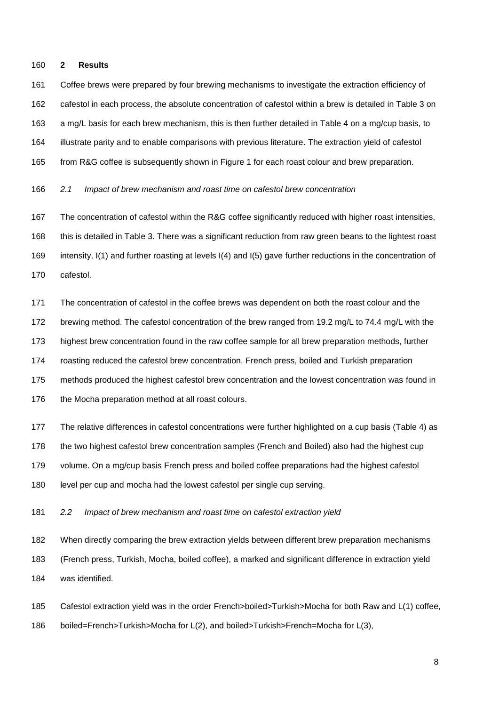#### **2 Results**

 Coffee brews were prepared by four brewing mechanisms to investigate the extraction efficiency of cafestol in each process, the absolute concentration of cafestol within a brew is detailed in [Table 3](#page-15-0) on 163 a mg/L basis for each brew mechanism, this is then further detailed in [Table 4](#page-16-0) on a mg/cup basis, to illustrate parity and to enable comparisons with previous literature. The extraction yield of cafestol from R&G coffee is subsequently shown in [Figure 1](#page-17-0) for each roast colour and brew preparation.

*2.1 Impact of brew mechanism and roast time on cafestol brew concentration* 

 The concentration of cafestol within the R&G coffee significantly reduced with higher roast intensities, this is detailed in [Table 3.](#page-15-0) There was a significant reduction from raw green beans to the lightest roast intensity, I(1) and further roasting at levels I(4) and I(5) gave further reductions in the concentration of cafestol.

 The concentration of cafestol in the coffee brews was dependent on both the roast colour and the 172 brewing method. The cafestol concentration of the brew ranged from 19.2 mg/L to 74.4 mg/L with the highest brew concentration found in the raw coffee sample for all brew preparation methods, further roasting reduced the cafestol brew concentration. French press, boiled and Turkish preparation methods produced the highest cafestol brew concentration and the lowest concentration was found in 176 the Mocha preparation method at all roast colours.

 The relative differences in cafestol concentrations were further highlighted on a cup basis [\(Table 4\)](#page-16-0) as the two highest cafestol brew concentration samples (French and Boiled) also had the highest cup volume. On a mg/cup basis French press and boiled coffee preparations had the highest cafestol level per cup and mocha had the lowest cafestol per single cup serving.

*2.2 Impact of brew mechanism and roast time on cafestol extraction yield*

 When directly comparing the brew extraction yields between different brew preparation mechanisms (French press, Turkish, Mocha, boiled coffee), a marked and significant difference in extraction yield was identified.

 Cafestol extraction yield was in the order French>boiled>Turkish>Mocha for both Raw and L(1) coffee, boiled=French>Turkish>Mocha for L(2), and boiled>Turkish>French=Mocha for L(3),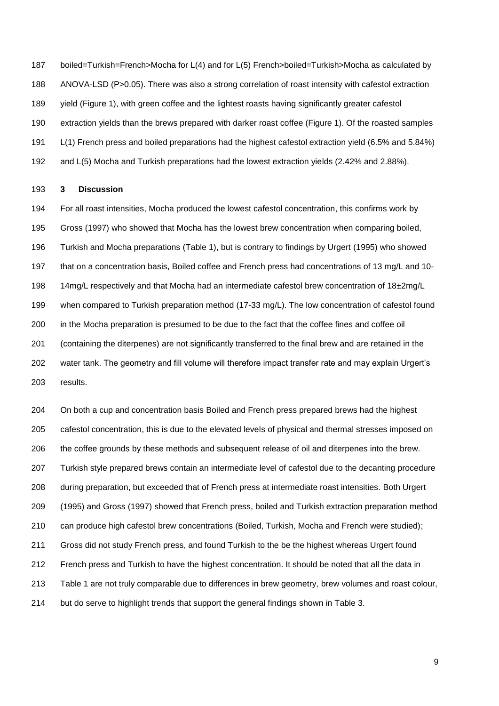boiled=Turkish=French>Mocha for L(4) and for L(5) French>boiled=Turkish>Mocha as calculated by ANOVA-LSD (P>0.05). There was also a strong correlation of roast intensity with cafestol extraction yield [\(Figure 1\)](#page-17-0), with green coffee and the lightest roasts having significantly greater cafestol extraction yields than the brews prepared with darker roast coffee [\(Figure 1\)](#page-17-0). Of the roasted samples L(1) French press and boiled preparations had the highest cafestol extraction yield (6.5% and 5.84%) and L(5) Mocha and Turkish preparations had the lowest extraction yields (2.42% and 2.88%).

#### **3 Discussion**

 For all roast intensities, Mocha produced the lowest cafestol concentration, this confirms work by Gross [\(1997\)](#page-11-7) who showed that Mocha has the lowest brew concentration when comparing boiled, Turkish and Mocha preparations [\(Table 1\)](#page-13-0), but is contrary to findings by Urgert [\(1995\)](#page-12-1) who showed 197 that on a concentration basis, Boiled coffee and French press had concentrations of 13 mg/L and 10- 14mg/L respectively and that Mocha had an intermediate cafestol brew concentration of 18±2mg/L when compared to Turkish preparation method (17-33 mg/L). The low concentration of cafestol found in the Mocha preparation is presumed to be due to the fact that the coffee fines and coffee oil (containing the diterpenes) are not significantly transferred to the final brew and are retained in the water tank. The geometry and fill volume will therefore impact transfer rate and may explain Urgert's results.

 On both a cup and concentration basis Boiled and French press prepared brews had the highest cafestol concentration, this is due to the elevated levels of physical and thermal stresses imposed on the coffee grounds by these methods and subsequent release of oil and diterpenes into the brew. Turkish style prepared brews contain an intermediate level of cafestol due to the decanting procedure during preparation, but exceeded that of French press at intermediate roast intensities. Both Urgert [\(1995\)](#page-12-1) and Gross [\(1997\)](#page-11-7) showed that French press, boiled and Turkish extraction preparation method can produce high cafestol brew concentrations (Boiled, Turkish, Mocha and French were studied); Gross did not study French press, and found Turkish to the be the highest whereas Urgert found French press and Turkish to have the highest concentration. It should be noted that all the data in [Table 1](#page-13-0) are not truly comparable due to differences in brew geometry, brew volumes and roast colour, but do serve to highlight trends that support the general findings shown in [Table 3.](#page-15-0)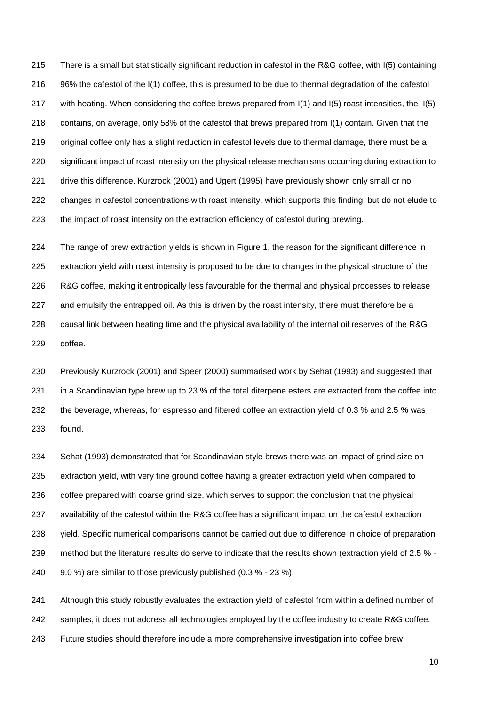There is a small but statistically significant reduction in cafestol in the R&G coffee, with I(5) containing 96% the cafestol of the I(1) coffee, this is presumed to be due to thermal degradation of the cafestol with heating. When considering the coffee brews prepared from I(1) and I(5) roast intensities, the I(5) contains, on average, only 58% of the cafestol that brews prepared from I(1) contain. Given that the original coffee only has a slight reduction in cafestol levels due to thermal damage, there must be a significant impact of roast intensity on the physical release mechanisms occurring during extraction to drive this difference. Kurzrock [\(2001\)](#page-11-10) and Ugert [\(1995\)](#page-12-1) have previously shown only small or no changes in cafestol concentrations with roast intensity, which supports this finding, but do not elude to the impact of roast intensity on the extraction efficiency of cafestol during brewing.

 The range of brew extraction yields is shown in [Figure 1,](#page-17-0) the reason for the significant difference in extraction yield with roast intensity is proposed to be due to changes in the physical structure of the R&G coffee, making it entropically less favourable for the thermal and physical processes to release and emulsify the entrapped oil. As this is driven by the roast intensity, there must therefore be a causal link between heating time and the physical availability of the internal oil reserves of the R&G coffee.

 Previously Kurzrock [\(2001\)](#page-11-10) and Speer [\(2000\)](#page-12-4) summarised work by Sehat [\(1993\)](#page-11-11) and suggested that in a Scandinavian type brew up to 23 % of the total diterpene esters are extracted from the coffee into the beverage, whereas, for espresso and filtered coffee an extraction yield of 0.3 % and 2.5 % was found.

 Sehat [\(1993\)](#page-11-11) demonstrated that for Scandinavian style brews there was an impact of grind size on extraction yield, with very fine ground coffee having a greater extraction yield when compared to coffee prepared with coarse grind size, which serves to support the conclusion that the physical availability of the cafestol within the R&G coffee has a significant impact on the cafestol extraction yield. Specific numerical comparisons cannot be carried out due to difference in choice of preparation method but the literature results do serve to indicate that the results shown (extraction yield of 2.5 % - 9.0 %) are similar to those previously published (0.3 % - 23 %).

 Although this study robustly evaluates the extraction yield of cafestol from within a defined number of samples, it does not address all technologies employed by the coffee industry to create R&G coffee. Future studies should therefore include a more comprehensive investigation into coffee brew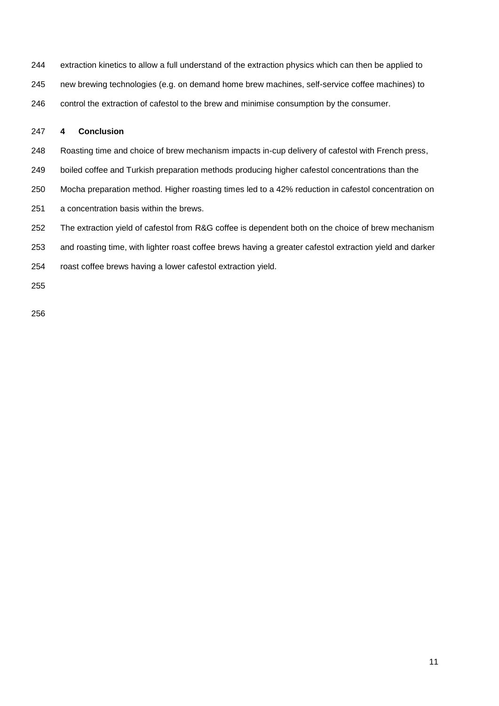extraction kinetics to allow a full understand of the extraction physics which can then be applied to

new brewing technologies (e.g. on demand home brew machines, self-service coffee machines) to

control the extraction of cafestol to the brew and minimise consumption by the consumer.

## **4 Conclusion**

- Roasting time and choice of brew mechanism impacts in-cup delivery of cafestol with French press,
- boiled coffee and Turkish preparation methods producing higher cafestol concentrations than the
- Mocha preparation method. Higher roasting times led to a 42% reduction in cafestol concentration on
- a concentration basis within the brews.
- The extraction yield of cafestol from R&G coffee is dependent both on the choice of brew mechanism
- and roasting time, with lighter roast coffee brews having a greater cafestol extraction yield and darker
- roast coffee brews having a lower cafestol extraction yield.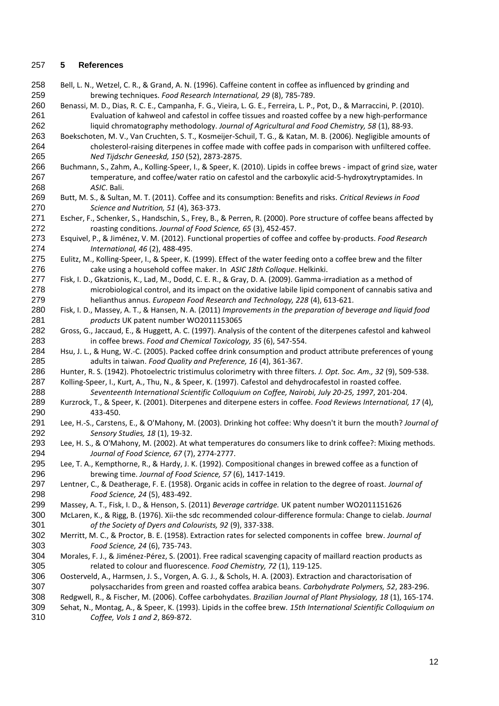## **5 References**

- <span id="page-11-20"></span> Bell, L. N., Wetzel, C. R., & Grand, A. N. (1996). Caffeine content in coffee as influenced by grinding and brewing techniques. *Food Research International, 29* (8), 785-789.
- <span id="page-11-25"></span> Benassi, M. D., Dias, R. C. E., Campanha, F. G., Vieira, L. G. E., Ferreira, L. P., Pot, D., & Marraccini, P. (2010). Evaluation of kahweol and cafestol in coffee tissues and roasted coffee by a new high-performance liquid chromatography methodology. *Journal of Agricultural and Food Chemistry, 58* (1), 88-93.
- <span id="page-11-12"></span> Boekschoten, M. V., Van Cruchten, S. T., Kosmeijer-Schuil, T. G., & Katan, M. B. (2006). Negligible amounts of cholesterol-raising diterpenes in coffee made with coffee pads in comparison with unfiltered coffee. *Ned Tijdschr Geneeskd, 150* (52), 2873-2875.
- <span id="page-11-9"></span> Buchmann, S., Zahm, A., Kolling-Speer, I., & Speer, K. (2010). Lipids in coffee brews - impact of grind size, water 267 temperature, and coffee/water ratio on cafestol and the carboxylic acid-5-hydroxytryptamides. In *ASIC*. Bali.
- <span id="page-11-6"></span> Butt, M. S., & Sultan, M. T. (2011). Coffee and its consumption: Benefits and risks. *Critical Reviews in Food Science and Nutrition, 51* (4), 363-373.
- <span id="page-11-17"></span> Escher, F., Schenker, S., Handschin, S., Frey, B., & Perren, R. (2000). Pore structure of coffee beans affected by roasting conditions. *Journal of Food Science, 65* (3), 452-457.
- <span id="page-11-5"></span> Esquivel, P., & Jiménez, V. M. (2012). Functional properties of coffee and coffee by-products. *Food Research International, 46* (2), 488-495.
- <span id="page-11-8"></span> Eulitz, M., Kolling-Speer, I., & Speer, K. (1999). Effect of the water feeding onto a coffee brew and the filter cake using a household coffee maker. In *ASIC 18th Colloque*. Helkinki.
- <span id="page-11-21"></span> Fisk, I. D., Gkatzionis, K., Lad, M., Dodd, C. E. R., & Gray, D. A. (2009). Gamma-irradiation as a method of microbiological control, and its impact on the oxidative labile lipid component of cannabis sativa and helianthus annus. *European Food Research and Technology, 228* (4), 613-621.
- <span id="page-11-3"></span> Fisk, I. D., Massey, A. T., & Hansen, N. A. (2011) *Improvements in the preparation of beverage and liquid food products* UK patent number WO2011153065
- <span id="page-11-7"></span> Gross, G., Jaccaud, E., & Huggett, A. C. (1997). Analysis of the content of the diterpenes cafestol and kahweol in coffee brews. *Food and Chemical Toxicology, 35* (6), 547-554.
- <span id="page-11-2"></span> Hsu, J. L., & Hung, W.-C. (2005). Packed coffee drink consumption and product attribute preferences of young adults in taiwan. *Food Quality and Preference, 16* (4), 361-367.
- <span id="page-11-24"></span>Hunter, R. S. (1942). Photoelectric tristimulus colorimetry with three filters. *J. Opt. Soc. Am., 32* (9), 509-538.
- <span id="page-11-19"></span> Kolling-Speer, I., Kurt, A., Thu, N., & Speer, K. (1997). Cafestol and dehydrocafestol in roasted coffee. *Seventeenth International Scientific Colloquium on Coffee, Nairobi, July 20-25, 1997*, 201-204.
- <span id="page-11-10"></span> Kurzrock, T., & Speer, K. (2001). Diterpenes and diterpene esters in coffee. *Food Reviews International, 17* (4), 433-450.
- <span id="page-11-0"></span> Lee, H.-S., Carstens, E., & O'Mahony, M. (2003). Drinking hot coffee: Why doesn't it burn the mouth? *Journal of Sensory Studies, 18* (1), 19-32.
- <span id="page-11-1"></span> Lee, H. S., & O'Mahony, M. (2002). At what temperatures do consumers like to drink coffee?: Mixing methods. *Journal of Food Science, 67* (7), 2774-2777.
- <span id="page-11-13"></span> Lee, T. A., Kempthorne, R., & Hardy, J. K. (1992). Compositional changes in brewed coffee as a function of brewing time. *Journal of Food Science, 57* (6), 1417-1419.
- <span id="page-11-15"></span> Lentner, C., & Deatherage, F. E. (1958). Organic acids in coffee in relation to the degree of roast. *Journal of Food Science, 24* (5), 483-492.
- <span id="page-11-4"></span>Massey, A. T., Fisk, I. D., & Henson, S. (2011) *Beverage cartridge.* UK patent number WO2011151626
- <span id="page-11-23"></span> McLaren, K., & Rigg, B. (1976). Xii-the sdc recommended colour-difference formula: Change to cielab. *Journal of the Society of Dyers and Colourists, 92* (9), 337-338.
- <span id="page-11-14"></span> Merritt, M. C., & Proctor, B. E. (1958). Extraction rates for selected components in coffee brew. *Journal of Food Science, 24* (6), 735-743.
- <span id="page-11-22"></span> Morales, F. J., & Jiménez-Pérez, S. (2001). Free radical scavenging capacity of maillard reaction products as related to colour and fluorescence. *Food Chemistry, 72* (1), 119-125.
- <span id="page-11-18"></span> Oosterveld, A., Harmsen, J. S., Vorgen, A. G. J., & Schols, H. A. (2003). Extraction and charactorisation of polysaccharides from green and roasted coffea arabica beans. *Carbohydrate Polymers, 52*, 283-296.
- <span id="page-11-16"></span> Redgwell, R., & Fischer, M. (2006). Coffee carbohydates. *Brazilian Journal of Plant Physiology, 18* (1), 165-174. Sehat, N., Montag, A., & Speer, K. (1993). Lipids in the coffee brew. *15th International Scientific Colloquium on*
- <span id="page-11-11"></span>*Coffee, Vols 1 and 2*, 869-872.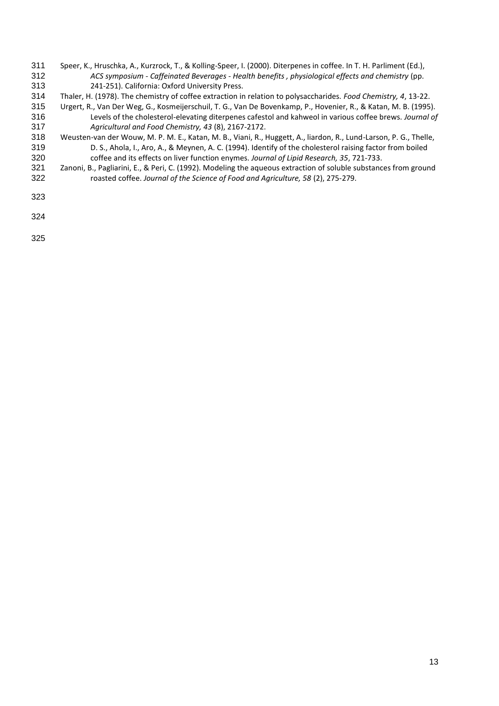- <span id="page-12-4"></span> Speer, K., Hruschka, A., Kurzrock, T., & Kolling-Speer, I. (2000). Diterpenes in coffee. In T. H. Parliment (Ed.), *ACS symposium - Caffeinated Beverages - Health benefits , physiological effects and chemistry* (pp. 241-251). California: Oxford University Press.
- <span id="page-12-2"></span>Thaler, H. (1978). The chemistry of coffee extraction in relation to polysaccharides. *Food Chemistry, 4*, 13-22.
- <span id="page-12-1"></span> Urgert, R., Van Der Weg, G., Kosmeijerschuil, T. G., Van De Bovenkamp, P., Hovenier, R., & Katan, M. B. (1995). Levels of the cholesterol-elevating diterpenes cafestol and kahweol in various coffee brews. *Journal of Agricultural and Food Chemistry, 43* (8), 2167-2172.
- <span id="page-12-0"></span> Weusten-van der Wouw, M. P. M. E., Katan, M. B., Viani, R., Huggett, A., liardon, R., Lund-Larson, P. G., Thelle, D. S., Ahola, I., Aro, A., & Meynen, A. C. (1994). Identify of the cholesterol raising factor from boiled coffee and its effects on liver function enymes. *Journal of Lipid Research, 35*, 721-733.
- <span id="page-12-3"></span> Zanoni, B., Pagliarini, E., & Peri, C. (1992). Modeling the aqueous extraction of soluble substances from ground roasted coffee. *Journal of the Science of Food and Agriculture, 58* (2), 275-279.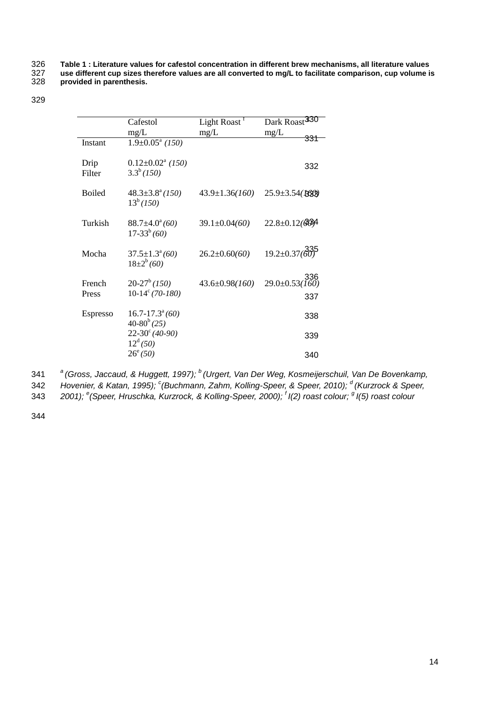326 **Table 1 : Literature values for cafestol concentration in different brew mechanisms, all literature values** 

<span id="page-13-0"></span>327 **use different cup sizes therefore values are all converted to mg/L to facilitate comparison, cup volume is** 

provided in parenthesis.

329

|                 | Cafestol                                        | Light Roast <sup>f</sup> | Dark Roast                        |
|-----------------|-------------------------------------------------|--------------------------|-----------------------------------|
|                 | mg/L                                            | mg/L                     | mg/L                              |
| Instant         | $1.9 \pm 0.05^{\text{a}}$ (150)                 |                          |                                   |
| Drip            | $0.12 \pm 0.02$ <sup>a</sup> (150)              |                          | 332                               |
| Filter          | $3.3^b$ (150)                                   |                          |                                   |
| <b>Boiled</b>   | $48.3 \pm 3.8^{\circ} (150)$                    | $43.9 \pm 1.36(160)$     | $25.9 \pm 3.54$ ( $B$ 58          |
|                 | $13^b(150)$                                     |                          |                                   |
| Turkish         | $88.7 \pm 4.0^{\circ} (60)$                     | $39.1 \pm 0.04(60)$      | $22.8 \pm 0.12$ (63) <sup>4</sup> |
|                 | $17-33^{b}(60)$                                 |                          |                                   |
| Mocha           | $37.5 \pm 1.3^{\circ}(60)$                      | $26.2 \pm 0.60(60)$      | $19.2 \pm 0.37$ (60)              |
|                 | $18\pm2^{b}(60)$                                |                          | 336                               |
| French          | $20-27^b(150)$                                  | $43.6 \pm 0.98(160)$     | $29.0 \pm 0.53(160)$              |
| Press           | $10-14^{\circ} (70-180)$                        |                          | 337                               |
| <b>Espresso</b> | $16.7 - 17.3^{\circ}(60)$                       |                          | 338                               |
|                 | $40-80^{b}$ (25)<br>$22 - 30^{\circ} (40 - 90)$ |                          |                                   |
|                 | $12^d(50)$                                      |                          | 339                               |
|                 | $26^{\circ} (50)$                               |                          | 340                               |

*<sup>a</sup>[\(Gross, Jaccaud, & Huggett, 1997\)](#page-11-7); <sup>b</sup>*341 *[\(Urgert, Van Der Weg, Kosmeijerschuil, Van De Bovenkamp,](#page-12-1)* 

*[Hovenier, & Katan, 1995\)](#page-12-1); <sup>c</sup> [\(Buchmann, Zahm, Kolling-Speer, & Speer, 2010\)](#page-11-9); <sup>d</sup>*342 *[\(Kurzrock & Speer,](#page-11-10)* 

*[2001\)](#page-11-10); <sup>e</sup> [\(Speer, Hruschka, Kurzrock, & Kolling-Speer, 2000\)](#page-12-4); <sup>f</sup> I(2) roast colour; <sup>g</sup>*343 *I(5) roast colour*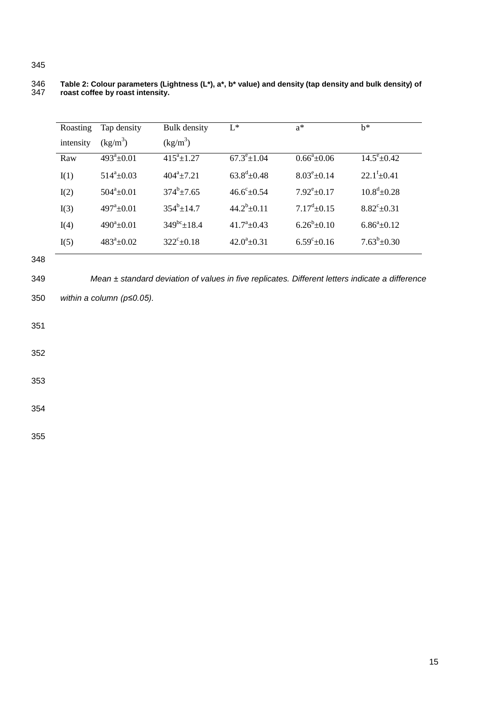| Roasting  | Tap density                    | <b>Bulk</b> density         | $I^*$                      | $a^*$                      | $h^*$                        |
|-----------|--------------------------------|-----------------------------|----------------------------|----------------------------|------------------------------|
| intensity | $\frac{\text{kg}}{\text{m}^3}$ | $(kg/m^3)$                  |                            |                            |                              |
| Raw       | $493^a \pm 0.01$               | $\overline{415}^a \pm 1.27$ | $67.3^{\circ}$ ±1.04       | $0.66^a \pm 0.06$          | $14.5^{\circ}$ ± 0.42        |
| I(1)      | $514^{\circ}$ ±0.03            | $404^a + 7.21$              | $63.8^{\text{d}} \pm 0.48$ | $8.03^e \pm 0.14$          | $22.1^{\mathrm{f}} \pm 0.41$ |
| I(2)      | $504^{\circ}$ ±0.01            | $374^b$ + 7.65              | $46.6^{\circ} \pm 0.54$    | $7.92^{\rm e}{\pm}0.17$    | $10.8^{\rm d}$ ±0.28         |
| I(3)      | $497^{\circ}+0.01$             | $354^b \pm 14.7$            | $44.2^b \pm 0.11$          | $7.17^{\mathrm{d}}$ + 0.15 | $8.82^{\circ} \pm 0.31$      |
| I(4)      | $490^a \pm 0.01$               | $349^{bc}$ + 18.4           | $41.7^{\circ}$ +0.43       | $6.26^{b} \pm 0.10$        | $6.86^a \pm 0.12$            |
| I(5)      | $483^{\circ}+0.02$             | $322^{\circ}$ +0.18         | $42.0^a + 0.31$            | $6.59^{\circ}+0.16$        | $7.63^b \pm 0.30$            |

## <span id="page-14-0"></span>346 **Table 2: Colour parameters (Lightness (L\*), a\*, b\* value) and density (tap density and bulk density) of**  347 **roast coffee by roast intensity.**

348

349 *Mean ± standard deviation of values in five replicates. Different letters indicate a difference* 

350 *within a column (p≤0.05).*

351

352

353

354

355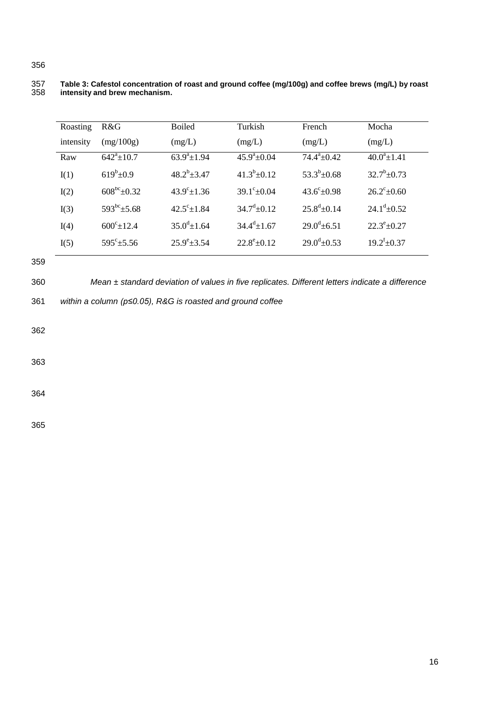## <span id="page-15-0"></span>357 **Table 3: Cafestol concentration of roast and ground coffee (mg/100g) and coffee brews (mg/L) by roast**  intensity and brew mechanism.

| Roasting  | R&G                  | <b>Boiled</b>              | Turkish                     | French                     | Mocha                   |
|-----------|----------------------|----------------------------|-----------------------------|----------------------------|-------------------------|
| intensity | (mg/100g)            | (mg/L)                     | (mg/L)                      | (mg/L)                     | (mg/L)                  |
| Raw       | $642^a \pm 10.7$     | $63.9^a \pm 1.94$          | $\frac{1}{45.9^a \pm 0.04}$ | $74.4^a \pm 0.42$          | $40.0^a \pm 1.41$       |
| I(1)      | $619^b \pm 0.9$      | $48.2^b \pm 3.47$          | $41.3^b \pm 0.12$           | $53.3^b \pm 0.68$          | $32.7^b \pm 0.73$       |
| I(2)      | $608^{bc}$ +0.32     | $43.9^{\circ}$ ± 1.36      | $39.1^{\circ}$ + 0.04       | $43.6^{\circ}$ ± 0.98      | $26.2^{\circ}$ +0.60    |
| I(3)      | $593^{bc}$ ±5.68     | $42.5^{\circ}$ ± 1.84      | $34.7^{\text{d}} \pm 0.12$  | $25.8^{\text{d}} \pm 0.14$ | $24.1^{\rm d} \pm 0.52$ |
| I(4)      | $600^{\circ}$ ± 12.4 | $35.0^{\text{d}} \pm 1.64$ | $34.4^{d} \pm 1.67$         | $29.0^{\text{d}}$ +6.51    | $22.3^{\rm e}$ ±0.27    |
| I(5)      | $595^{\circ}$ ±5.56  | $25.9^{\rm e}$ ± 3.54      | $22.8^{\rm e}$ ±0.12        | $29.0^{\text{d}} \pm 0.53$ | $19.2^{f} \pm 0.37$     |
|           |                      |                            |                             |                            |                         |

359

356

360 *Mean ± standard deviation of values in five replicates. Different letters indicate a difference* 

361 *within a column (p≤0.05), R&G is roasted and ground coffee*

362

363

364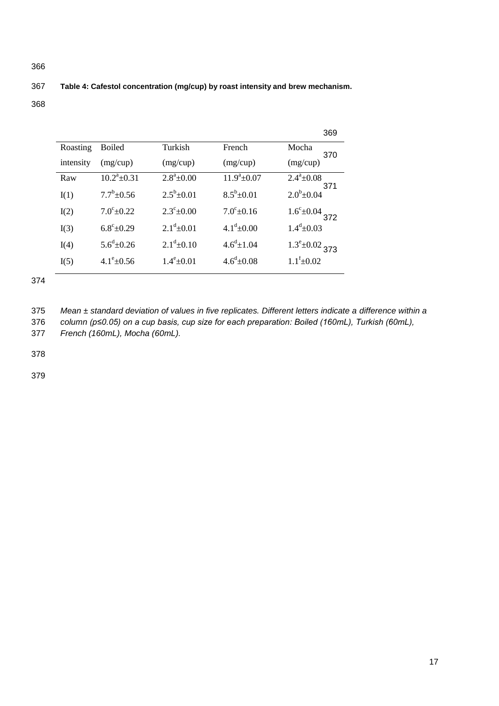## <span id="page-16-0"></span>367 **Table 4: Cafestol concentration (mg/cup) by roast intensity and brew mechanism.**

368

| Roasting<br>Turkish<br>French<br><b>Boiled</b><br>Mocha<br>(mg/cup)<br>(mg/cup)<br>intensity<br>(mg/cup)<br>(mg/cup)<br>$2.8^a \pm 0.00$<br>$11.9^a \pm 0.07$<br>$10.2^a \pm 0.31$<br>$2.4^a \pm 0.08$<br>Raw<br>$2.0^b$ +0.04<br>$8.5^b \pm 0.01$<br>$2.5^b \pm 0.01$<br>$7.7^b \pm 0.56$<br>I(1)<br>$7.0^{\circ}$ +0.22<br>$2.3^{\circ}$ ±0.00<br>$7.0^{\circ}$ ± 0.16<br>$1.6^{\circ} \pm 0.04$ 372<br>I(2)<br>$1.4^d \pm 0.03$<br>$4.1^{\rm d}$ + 0.00<br>$2.1^{\text{d}} \pm 0.01$<br>$6.8^{\circ}$ ± 0.29<br>I(3)<br>$5.6^{\text{d}} \pm 0.26$<br>$2.1^{\text{d}} + 0.10$<br>$4.6^{\rm d}$ + 1.04<br>$1.3^{\circ}$ ±0.02 373<br>I(4) | 369 |
|--------------------------------------------------------------------------------------------------------------------------------------------------------------------------------------------------------------------------------------------------------------------------------------------------------------------------------------------------------------------------------------------------------------------------------------------------------------------------------------------------------------------------------------------------------------------------------------------------------------------------------------------|-----|
|                                                                                                                                                                                                                                                                                                                                                                                                                                                                                                                                                                                                                                            | 370 |
|                                                                                                                                                                                                                                                                                                                                                                                                                                                                                                                                                                                                                                            |     |
|                                                                                                                                                                                                                                                                                                                                                                                                                                                                                                                                                                                                                                            | 371 |
|                                                                                                                                                                                                                                                                                                                                                                                                                                                                                                                                                                                                                                            |     |
|                                                                                                                                                                                                                                                                                                                                                                                                                                                                                                                                                                                                                                            |     |
|                                                                                                                                                                                                                                                                                                                                                                                                                                                                                                                                                                                                                                            |     |
|                                                                                                                                                                                                                                                                                                                                                                                                                                                                                                                                                                                                                                            |     |
| $1.1^{\text{f}}\pm 0.02$<br>$4.6^{\rm d}$ + 0.08<br>$4.1^{\circ}$ ±0.56<br>$1.4^{\rm e}{\pm}0.01$<br>I(5)                                                                                                                                                                                                                                                                                                                                                                                                                                                                                                                                  |     |

374

375 *Mean ± standard deviation of values in five replicates. Different letters indicate a difference within a* 

376 *column (p≤0.05) on a cup basis, cup size for each preparation: Boiled (160mL), Turkish (60mL),* 

377 *French (160mL), Mocha (60mL).*

378